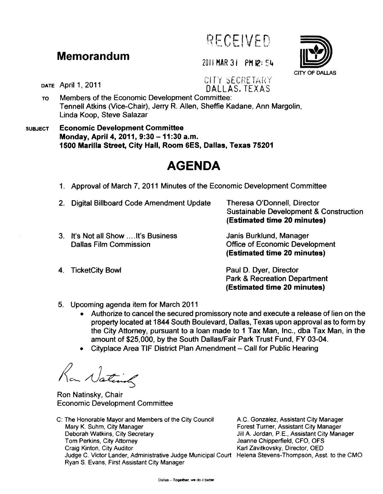

## **Memorandum** 2011 MAR 31 PM  $\mathbf{p}: 54$

## DATE April 1, 2011 **EXAMPLE 19 FOR SECRETARY** DALLAS. TEXAS

- To Members of the Economic Development Committee: Tennell Atkins (Vice-Chair), Jerry R. Allen, Sheffie Kadane, Ann Margolin, Linda Koop, Steve Salazar
- SUBJECT Economic Development Committee Monday, April 4, 2011, 9:30 - 11:30 a.m. 1500 Marilla Street, City Hall, Room 6ES, Dallas, Texas 75201

## **AGENDA**

- 1. Approval of March 7, 2011 Minutes of the Economic Development Committee
- 2. Digital Billboard Code Amendment Update 3. It's Not all Show .... It's Business Dallas Film Commission 4. TicketCity Bowl Theresa O'Donnell, Director Sustainable Development & Construction (Estimated time 20 minutes) Janis Burklund, Manager Office of Economic Development (Estimated time 20 minutes) Paul D. Dyer, Director
- - 5. Upcoming agenda item for March 2011
		- Authorize to cancel the secured promissory note and execute a release of lien on the property located at 1844 South Boulevard, Dallas, Texas upon approval as to form by the City Attorney, pursuant to a loan made to 1 Tax Man, Inc., dba Tax Man, in the amount of \$25,000, by the South Dallas/Fair Park Trust Fund, FY 03-04.
		- Cityplace Area TIF District Plan Amendment Call for Public Hearing

Ran National

Ron Natinsky, Chair Economic Development Committee

C: The Honorable Mayor and Members of the City Council Mary K. Suhm, City Manager Deborah Watkins, City Secretary **Tom Perkins, City Attorney** Craig Kinton, City Auditor Judge C. Victor Lander, Administrative Judge Municipal Court Helena Stevens-Thompson, Asst. to the CMO Ryan S. Evans, First Assistant City Manager

A.C. Gonzalez, Assistant City Manager Forest Turner, Assistant City Manager Jill A. Jordan, P.E., Assistant City Manager Jeanne Chipperfield, CFO, OFS Karl Zavitkovsky, Director, OED

Park & Recreation Department (Estimated time 20 minutes)